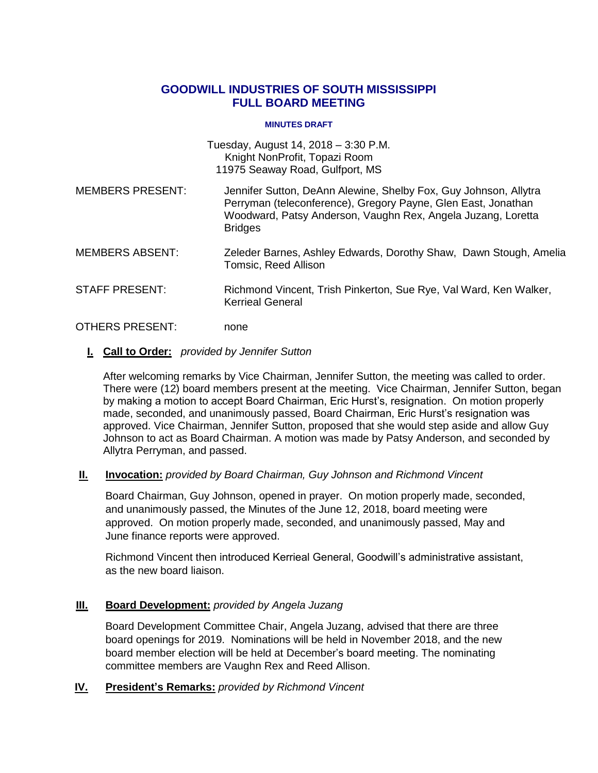## **GOODWILL INDUSTRIES OF SOUTH MISSISSIPPI FULL BOARD MEETING**

#### **MINUTES DRAFT**

Tuesday, August 14, 2018 – 3:30 P.M. Knight NonProfit, Topazi Room 11975 Seaway Road, Gulfport, MS

- MEMBERS PRESENT: Jennifer Sutton, DeAnn Alewine, Shelby Fox, Guy Johnson, Allytra Perryman (teleconference), Gregory Payne, Glen East, Jonathan Woodward, Patsy Anderson, Vaughn Rex, Angela Juzang, Loretta Bridges
- MEMBERS ABSENT: Zeleder Barnes, Ashley Edwards, Dorothy Shaw, Dawn Stough, Amelia Tomsic, Reed Allison
- STAFF PRESENT: Richmond Vincent, Trish Pinkerton, Sue Rye, Val Ward, Ken Walker, Kerrieal General

## OTHERS PRESENT: none

## **I. I Call to Order:** *provided by Jennifer Sutton*

After welcoming remarks by Vice Chairman, Jennifer Sutton, the meeting was called to order. There were (12) board members present at the meeting. Vice Chairman, Jennifer Sutton, began by making a motion to accept Board Chairman, Eric Hurst's, resignation. On motion properly made, seconded, and unanimously passed, Board Chairman, Eric Hurst's resignation was approved. Vice Chairman, Jennifer Sutton, proposed that she would step aside and allow Guy Johnson to act as Board Chairman. A motion was made by Patsy Anderson, and seconded by Allytra Perryman, and passed.

#### **II. Invocation:** *provided by Board Chairman, Guy Johnson and Richmond Vincent*

Board Chairman, Guy Johnson, opened in prayer. On motion properly made, seconded, and unanimously passed, the Minutes of the June 12, 2018, board meeting were approved. On motion properly made, seconded, and unanimously passed, May and June finance reports were approved.

Richmond Vincent then introduced Kerrieal General, Goodwill's administrative assistant, as the new board liaison.

## **III. Board Development:** *provided by Angela Juzang*

Board Development Committee Chair, Angela Juzang, advised that there are three board openings for 2019. Nominations will be held in November 2018, and the new board member election will be held at December's board meeting. The nominating committee members are Vaughn Rex and Reed Allison.

## **IV. President's Remarks:** *provided by Richmond Vincent*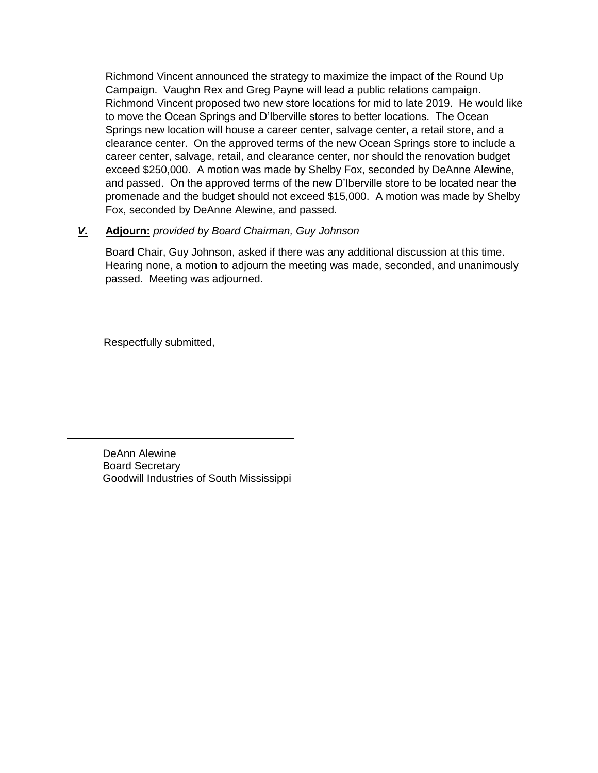Richmond Vincent announced the strategy to maximize the impact of the Round Up Campaign. Vaughn Rex and Greg Payne will lead a public relations campaign. Richmond Vincent proposed two new store locations for mid to late 2019. He would like to move the Ocean Springs and D'Iberville stores to better locations. The Ocean Springs new location will house a career center, salvage center, a retail store, and a clearance center. On the approved terms of the new Ocean Springs store to include a career center, salvage, retail, and clearance center, nor should the renovation budget exceed \$250,000. A motion was made by Shelby Fox, seconded by DeAnne Alewine, and passed. On the approved terms of the new D'Iberville store to be located near the promenade and the budget should not exceed \$15,000. A motion was made by Shelby Fox, seconded by DeAnne Alewine, and passed.

# *V.* **Adjourn:** *provided by Board Chairman, Guy Johnson*

Board Chair, Guy Johnson, asked if there was any additional discussion at this time. Hearing none, a motion to adjourn the meeting was made, seconded, and unanimously passed. Meeting was adjourned.

Respectfully submitted,

DeAnn Alewine Board Secretary Goodwill Industries of South Mississippi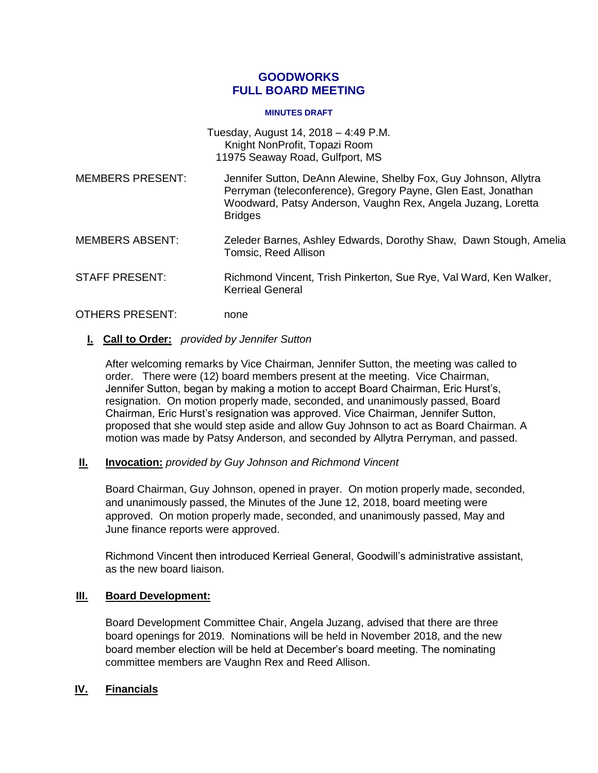## **GOODWORKS FULL BOARD MEETING**

#### **MINUTES DRAFT**

## Tuesday, August 14, 2018 – 4:49 P.M. Knight NonProfit, Topazi Room 11975 Seaway Road, Gulfport, MS

- MEMBERS PRESENT: Jennifer Sutton, DeAnn Alewine, Shelby Fox, Guy Johnson, Allytra Perryman (teleconference), Gregory Payne, Glen East, Jonathan Woodward, Patsy Anderson, Vaughn Rex, Angela Juzang, Loretta **Bridges**
- MEMBERS ABSENT: Zeleder Barnes, Ashley Edwards, Dorothy Shaw, Dawn Stough, Amelia Tomsic, Reed Allison
- STAFF PRESENT: Richmond Vincent, Trish Pinkerton, Sue Rye, Val Ward, Ken Walker, Kerrieal General

#### OTHERS PRESENT: none

## **I. I Call to Order:** *provided by Jennifer Sutton*

After welcoming remarks by Vice Chairman, Jennifer Sutton, the meeting was called to order. There were (12) board members present at the meeting. Vice Chairman, Jennifer Sutton, began by making a motion to accept Board Chairman, Eric Hurst's, resignation. On motion properly made, seconded, and unanimously passed, Board Chairman, Eric Hurst's resignation was approved. Vice Chairman, Jennifer Sutton, proposed that she would step aside and allow Guy Johnson to act as Board Chairman. A motion was made by Patsy Anderson, and seconded by Allytra Perryman, and passed.

**II. Invocation:** *provided by Guy Johnson and Richmond Vincent*

Board Chairman, Guy Johnson, opened in prayer. On motion properly made, seconded, and unanimously passed, the Minutes of the June 12, 2018, board meeting were approved. On motion properly made, seconded, and unanimously passed, May and June finance reports were approved.

Richmond Vincent then introduced Kerrieal General, Goodwill's administrative assistant, as the new board liaison.

## **III. Board Development:**

Board Development Committee Chair, Angela Juzang, advised that there are three board openings for 2019. Nominations will be held in November 2018, and the new board member election will be held at December's board meeting. The nominating committee members are Vaughn Rex and Reed Allison.

#### **IV. Financials**